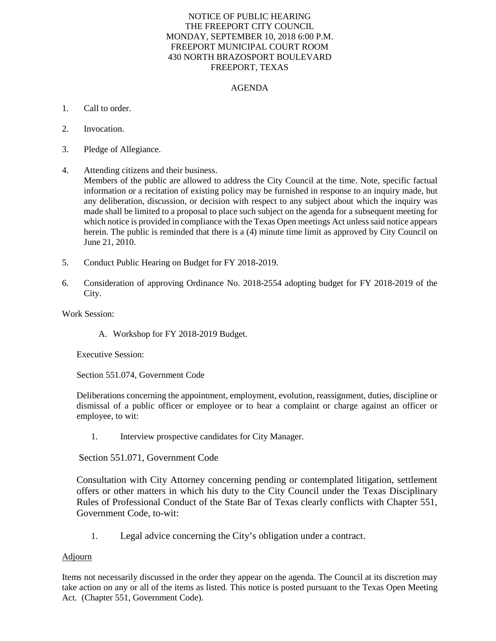## NOTICE OF PUBLIC HEARING THE FREEPORT CITY COUNCIL MONDAY, SEPTEMBER 10, 2018 6:00 P.M. FREEPORT MUNICIPAL COURT ROOM 430 NORTH BRAZOSPORT BOULEVARD FREEPORT, TEXAS

## AGENDA

- 1. Call to order.
- 2. Invocation.
- 3. Pledge of Allegiance.
- 4. Attending citizens and their business. Members of the public are allowed to address the City Council at the time. Note, specific factual information or a recitation of existing policy may be furnished in response to an inquiry made, but any deliberation, discussion, or decision with respect to any subject about which the inquiry was made shall be limited to a proposal to place such subject on the agenda for a subsequent meeting for which notice is provided in compliance with the Texas Open meetings Act unless said notice appears herein. The public is reminded that there is a (4) minute time limit as approved by City Council on June 21, 2010.
- 5. Conduct Public Hearing on Budget for FY 2018-2019.
- 6. Consideration of approving Ordinance No. 2018-2554 adopting budget for FY 2018-2019 of the City.

Work Session:

A. Workshop for FY 2018-2019 Budget.

Executive Session:

Section 551.074, Government Code

Deliberations concerning the appointment, employment, evolution, reassignment, duties, discipline or dismissal of a public officer or employee or to hear a complaint or charge against an officer or employee, to wit:

1. Interview prospective candidates for City Manager.

Section 551.071, Government Code

Consultation with City Attorney concerning pending or contemplated litigation, settlement offers or other matters in which his duty to the City Council under the Texas Disciplinary Rules of Professional Conduct of the State Bar of Texas clearly conflicts with Chapter 551, Government Code, to-wit:

1. Legal advice concerning the City's obligation under a contract.

## Adjourn

Items not necessarily discussed in the order they appear on the agenda. The Council at its discretion may take action on any or all of the items as listed. This notice is posted pursuant to the Texas Open Meeting Act. (Chapter 551, Government Code).